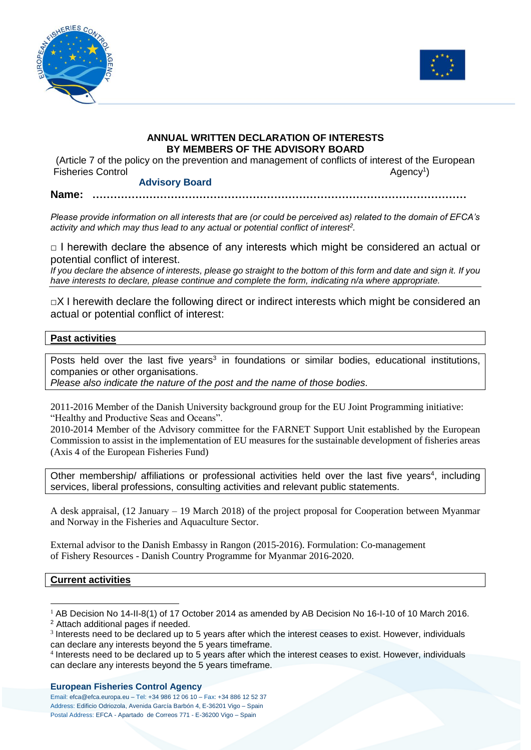



## **ANNUAL WRITTEN DECLARATION OF INTERESTS BY MEMBERS OF THE ADVISORY BOARD**

(Article 7 of the policy on the prevention and management of conflicts of interest of the European Fisheries Control Agency<sup>1</sup>)

## **Advisory Board**

**Name: ……………………………………………………………………………………………**

*Please provide information on all interests that are (or could be perceived as) related to the domain of EFCA's activity and which may thus lead to any actual or potential conflict of interest<sup>2</sup> .*

 $\Box$  I herewith declare the absence of any interests which might be considered an actual or potential conflict of interest.

*If you declare the absence of interests, please go straight to the bottom of this form and date and sign it. If you have interests to declare, please continue and complete the form, indicating n/a where appropriate.*

 $\Box$ X I herewith declare the following direct or indirect interests which might be considered an actual or potential conflict of interest:

## **Past activities**

Posts held over the last five years<sup>3</sup> in foundations or similar bodies, educational institutions, companies or other organisations.

*Please also indicate the nature of the post and the name of those bodies.*

2011-2016 Member of the Danish University background group for the EU Joint Programming initiative: "Healthy and Productive Seas and Oceans".

2010-2014 Member of the Advisory committee for the FARNET Support Unit established by the European Commission to assist in the implementation of EU measures for the sustainable development of fisheries areas (Axis 4 of the European Fisheries Fund)

Other membership/ affiliations or professional activities held over the last five years<sup>4</sup>, including services, liberal professions, consulting activities and relevant public statements.

A desk appraisal, (12 January – 19 March 2018) of the project proposal for Cooperation between Myanmar and Norway in the Fisheries and Aquaculture Sector.

External advisor to the Danish Embassy in Rangon (2015-2016). Formulation: Co-management of Fishery Resources - Danish Country Programme for Myanmar 2016-2020.

## **Current activities**

1

**European Fisheries Control Agency**

Email: efca@efca.europa.eu – Tel: +34 986 12 06 10 – Fax: +34 886 12 52 37 Address: Edificio Odriozola, Avenida García Barbón 4, E-36201 Vigo – Spain Postal Address: EFCA - Apartado de Correos 771 - E-36200 Vigo – Spain

<sup>&</sup>lt;sup>1</sup> AB Decision No 14-II-8(1) of 17 October 2014 as amended by AB Decision No 16-I-10 of 10 March 2016. <sup>2</sup> Attach additional pages if needed.

<sup>&</sup>lt;sup>3</sup> Interests need to be declared up to 5 years after which the interest ceases to exist. However, individuals can declare any interests beyond the 5 years timeframe.

<sup>4</sup> Interests need to be declared up to 5 years after which the interest ceases to exist. However, individuals can declare any interests beyond the 5 years timeframe.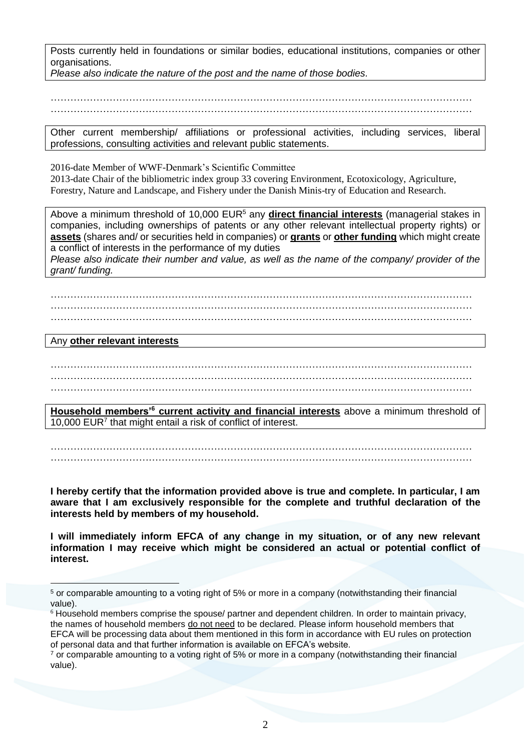Posts currently held in foundations or similar bodies, educational institutions, companies or other organisations.

*Please also indicate the nature of the post and the name of those bodies.*

………………………………………………………………………………………………………………… …………………………………………………………………………………………………………………

Other current membership/ affiliations or professional activities, including services, liberal professions, consulting activities and relevant public statements.

2016-date Member of WWF-Denmark's Scientific Committee 2013-date Chair of the bibliometric index group 33 covering Environment, Ecotoxicology, Agriculture, Forestry, Nature and Landscape, and Fishery under the Danish Minis-try of Education and Research.

Above a minimum threshold of 10,000 EUR<sup>5</sup> any **direct financial interests** (managerial stakes in companies, including ownerships of patents or any other relevant intellectual property rights) or **assets** (shares and/ or securities held in companies) or **grants** or **other funding** which might create a conflict of interests in the performance of my duties

*Please also indicate their number and value, as well as the name of the company/ provider of the grant/ funding.*

………………………………………………………………………………………………………………… ………………………………………………………………………………………………………………… …………………………………………………………………………………………………………………

Any **other relevant interests**

-

………………………………………………………………………………………………………………… ………………………………………………………………………………………………………………… …………………………………………………………………………………………………………………

**Household members'<sup>6</sup> current activity and financial interests** above a minimum threshold of 10,000 EUR<sup>7</sup> that might entail a risk of conflict of interest.

………………………………………………………………………………………………………………… …………………………………………………………………………………………………………………

**I hereby certify that the information provided above is true and complete. In particular, I am aware that I am exclusively responsible for the complete and truthful declaration of the interests held by members of my household.** 

**I will immediately inform EFCA of any change in my situation, or of any new relevant information I may receive which might be considered an actual or potential conflict of interest.**

<sup>5</sup> or comparable amounting to a voting right of 5% or more in a company (notwithstanding their financial value).

<sup>6</sup> Household members comprise the spouse/ partner and dependent children. In order to maintain privacy, the names of household members do not need to be declared. Please inform household members that EFCA will be processing data about them mentioned in this form in accordance with EU rules on protection of personal data and that further information is available on EFCA's website.

 $<sup>7</sup>$  or comparable amounting to a voting right of 5% or more in a company (notwithstanding their financial</sup> value).